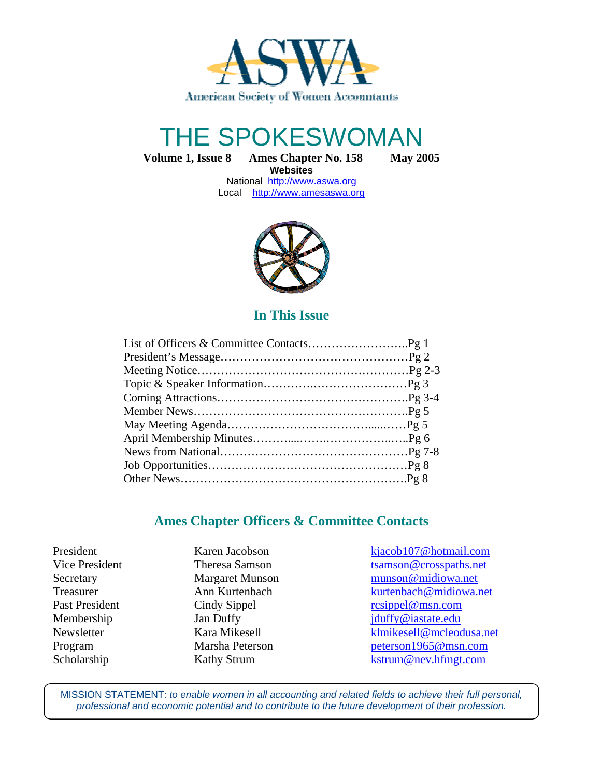

# THE SPOKESWOMAN

**Volume 1, Issue 8 Ames Chapter No. 158 May 2005**

**Websites**  National http://www.aswa.org Local http://www.amesaswa.org



#### **In This Issue**

#### **Ames Chapter Officers & Committee Contacts**

President Karen Jacobson kjacob107@hotmail.com Vice President Theresa Samson tsamson transformation tsamson transformation tsamson transformation transformation transformation terms at the U Secretary Margaret Munson munson @midiowa.net Treasurer **Ann Kurtenbach** kurtenbach kurtenbach@midiowa.net Past President Cindy Sippel resippel @msn.com Membership Jan Duffy Jan Wembership Jan Duffy in the settlement of the settlement of the January 10 and 10 and 10 and 10 and 10 and 10 and 10 and 10 and 10 and 10 and 10 and 10 and 10 and 10 and 10 and 10 and 10 and 10 and Newsletter Kara Mikesell klmikesell@mcleodusa.net Program Marsha Peterson peterson1965@msn.com Scholarship Kathy Strum Kathy Strum kstrum@nev.hfmgt.com

MISSION STATEMENT: to enable women in all accounting and related fields to achieve their full personal, professional and economic potential and to contribute to the future development of their profession.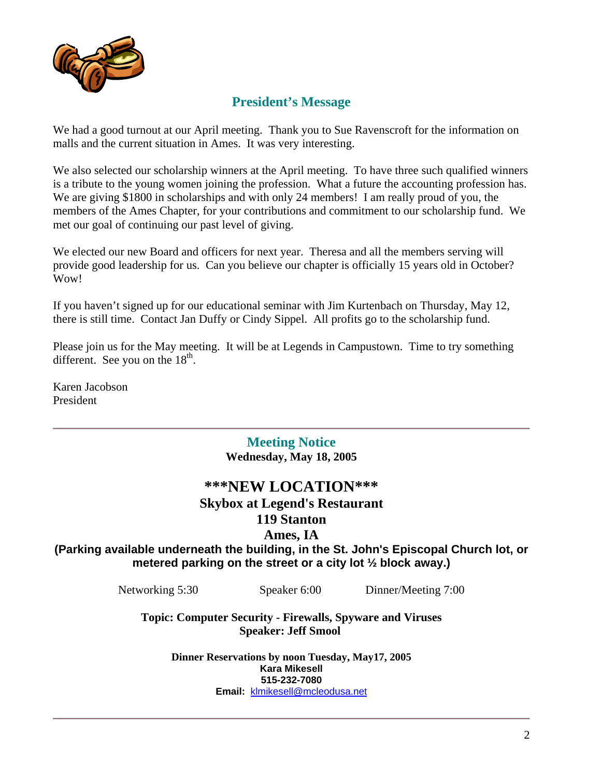

## **President's Message**

We had a good turnout at our April meeting. Thank you to Sue Ravenscroft for the information on malls and the current situation in Ames. It was very interesting.

We also selected our scholarship winners at the April meeting. To have three such qualified winners is a tribute to the young women joining the profession. What a future the accounting profession has. We are giving \$1800 in scholarships and with only 24 members! I am really proud of you, the members of the Ames Chapter, for your contributions and commitment to our scholarship fund. We met our goal of continuing our past level of giving.

We elected our new Board and officers for next year. Theresa and all the members serving will provide good leadership for us. Can you believe our chapter is officially 15 years old in October? Wow!

If you haven't signed up for our educational seminar with Jim Kurtenbach on Thursday, May 12, there is still time. Contact Jan Duffy or Cindy Sippel. All profits go to the scholarship fund.

Please join us for the May meeting. It will be at Legends in Campustown. Time to try something different. See you on the  $18<sup>th</sup>$ .

Karen Jacobson President

> **Meeting Notice Wednesday, May 18, 2005**

#### **\*\*\*NEW LOCATION\*\*\***

# **Skybox at Legend's Restaurant**

#### **119 Stanton**

#### **Ames, IA**

**(Parking available underneath the building, in the St. John's Episcopal Church lot, or metered parking on the street or a city lot ½ block away.)**

Networking 5:30 Speaker 6:00 Dinner/Meeting 7:00

**Topic: Computer Security - Firewalls, Spyware and Viruses Speaker: Jeff Smool** 

> **Dinner Reservations by noon Tuesday, May17, 2005 Kara Mikesell 515-232-7080 Email:** klmikesell@mcleodusa.net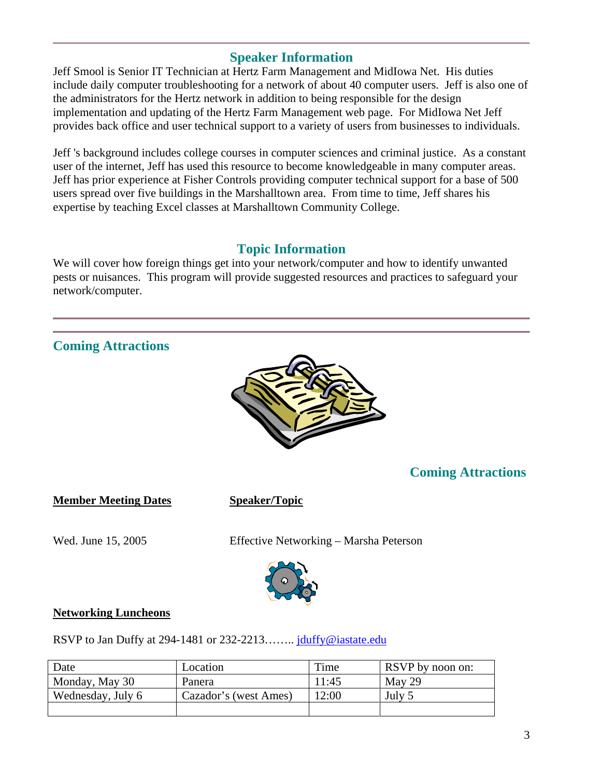#### **Speaker Information**

Jeff Smool is Senior IT Technician at Hertz Farm Management and MidIowa Net. His duties include daily computer troubleshooting for a network of about 40 computer users. Jeff is also one of the administrators for the Hertz network in addition to being responsible for the design implementation and updating of the Hertz Farm Management web page. For MidIowa Net Jeff provides back office and user technical support to a variety of users from businesses to individuals.

Jeff 's background includes college courses in computer sciences and criminal justice. As a constant user of the internet, Jeff has used this resource to become knowledgeable in many computer areas. Jeff has prior experience at Fisher Controls providing computer technical support for a base of 500 users spread over five buildings in the Marshalltown area. From time to time, Jeff shares his expertise by teaching Excel classes at Marshalltown Community College.

#### **Topic Information**

We will cover how foreign things get into your network/computer and how to identify unwanted pests or nuisances. This program will provide suggested resources and practices to safeguard your network/computer.



| Date              | Location              | Time  | <b>RSVP</b> by noon on: |
|-------------------|-----------------------|-------|-------------------------|
| Monday, May 30    | Panera                | 11:45 | May 29                  |
| Wednesday, July 6 | Cazador's (west Ames) | 12:00 | July 5                  |
|                   |                       |       |                         |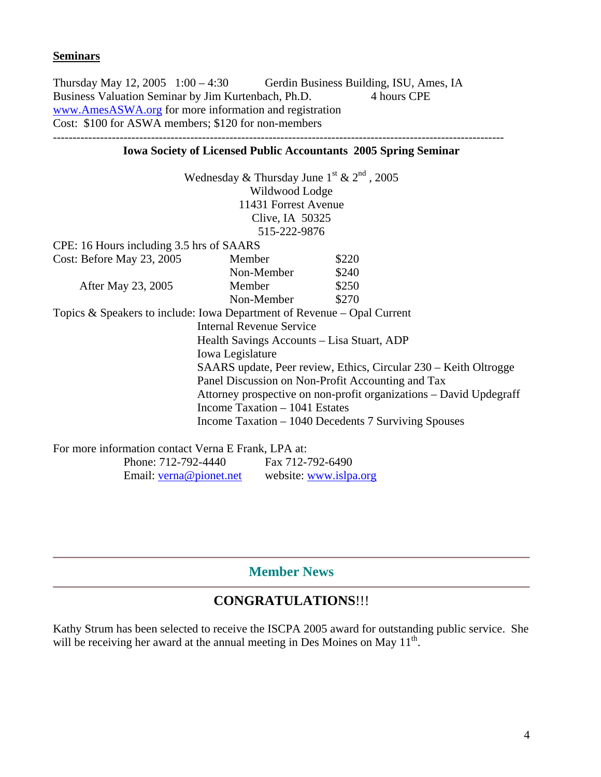#### **Seminars**

Thursday May 12, 2005 1:00 – 4:30 Gerdin Business Building, ISU, Ames, IA Business Valuation Seminar by Jim Kurtenbach, Ph.D. 4 hours CPE www.AmesASWA.org for more information and registration Cost: \$100 for ASWA members; \$120 for non-members

#### **Iowa Society of Licensed Public Accountants 2005 Spring Seminar**

|                                                                           | Wednesday & Thursday June $1^{\text{st}}$ & $2^{\text{nd}}$ , 2005 |                                                                    |  |  |
|---------------------------------------------------------------------------|--------------------------------------------------------------------|--------------------------------------------------------------------|--|--|
|                                                                           | Wildwood Lodge                                                     |                                                                    |  |  |
|                                                                           | 11431 Forrest Avenue                                               |                                                                    |  |  |
|                                                                           | Clive, IA 50325                                                    |                                                                    |  |  |
|                                                                           | 515-222-9876                                                       |                                                                    |  |  |
| CPE: 16 Hours including 3.5 hrs of SAARS                                  |                                                                    |                                                                    |  |  |
| Cost: Before May 23, 2005                                                 | Member                                                             | \$220                                                              |  |  |
|                                                                           | Non-Member                                                         | \$240                                                              |  |  |
| After May 23, 2005                                                        | Member                                                             | \$250                                                              |  |  |
|                                                                           | Non-Member                                                         | \$270                                                              |  |  |
| Topics & Speakers to include: Iowa Department of Revenue $-$ Opal Current |                                                                    |                                                                    |  |  |
|                                                                           | <b>Internal Revenue Service</b>                                    |                                                                    |  |  |
| Health Savings Accounts – Lisa Stuart, ADP                                |                                                                    |                                                                    |  |  |
| Iowa Legislature                                                          |                                                                    |                                                                    |  |  |
| SAARS update, Peer review, Ethics, Circular 230 – Keith Oltrogge          |                                                                    |                                                                    |  |  |
| Panel Discussion on Non-Profit Accounting and Tax                         |                                                                    |                                                                    |  |  |
|                                                                           |                                                                    | Attorney prospective on non-profit organizations – David Updegraff |  |  |
|                                                                           | Income Taxation $-1041$ Estates                                    |                                                                    |  |  |
|                                                                           |                                                                    |                                                                    |  |  |
|                                                                           |                                                                    | Income Taxation – 1040 Decedents 7 Surviving Spouses               |  |  |
|                                                                           |                                                                    |                                                                    |  |  |

For more information contact Verna E Frank, LPA at: Phone: 712-792-4440 Fax 712-792-6490 Email: verna@pionet.net website: www.islpa.org

#### **Member News**

# **CONGRATULATIONS**!!!

Kathy Strum has been selected to receive the ISCPA 2005 award for outstanding public service. She will be receiving her award at the annual meeting in Des Moines on May  $11<sup>th</sup>$ .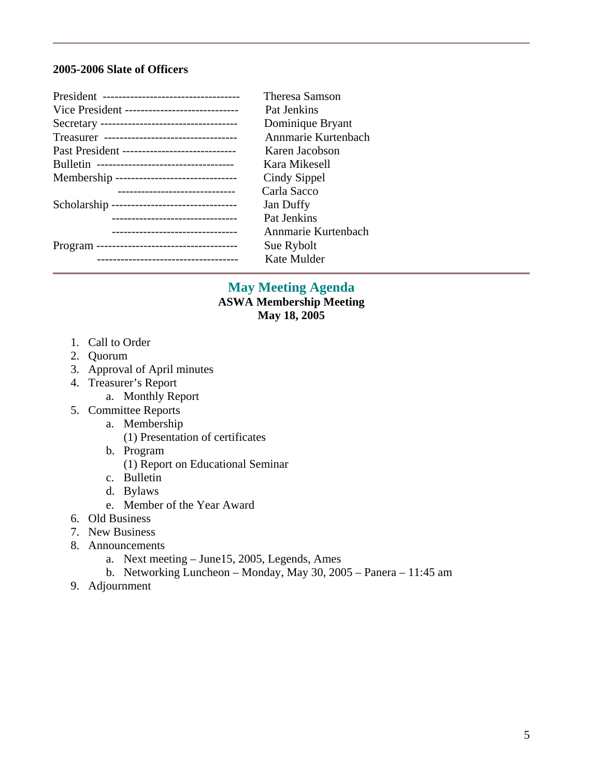#### **2005-2006 Slate of Officers**

| President ----------------------------------- | Theresa Samson      |
|-----------------------------------------------|---------------------|
| Vice President -----------------------------  | Pat Jenkins         |
|                                               | Dominique Bryant    |
| Treasurer ----------------------------------  | Annmarie Kurtenbach |
| Past President ------------------------------ | Karen Jacobson      |
| Bulletin -----------------------------------  | Kara Mikesell       |
| Membership --------------------------------   | Cindy Sippel        |
| -------------------------------               | Carla Sacco         |
| Scholarship --------------------------------  | Jan Duffy           |
| ---------------------------------             | Pat Jenkins         |
| -------------------------------               | Annmarie Kurtenbach |
|                                               | Sue Rybolt          |
| --------------------------------------        | Kate Mulder         |

#### **May Meeting Agenda ASWA Membership Meeting May 18, 2005**

- 1. Call to Order
- 2. Quorum
- 3. Approval of April minutes
- 4. Treasurer's Report
	- a. Monthly Report
- 5. Committee Reports
	- a. Membership
		- (1) Presentation of certificates
	- b. Program
		- (1) Report on Educational Seminar
	- c. Bulletin
	- d. Bylaws
	- e. Member of the Year Award
- 6. Old Business
- 7. New Business
- 8. Announcements
	- a. Next meeting June15, 2005, Legends, Ames
	- b. Networking Luncheon Monday, May 30, 2005 Panera 11:45 am
- 9. Adjournment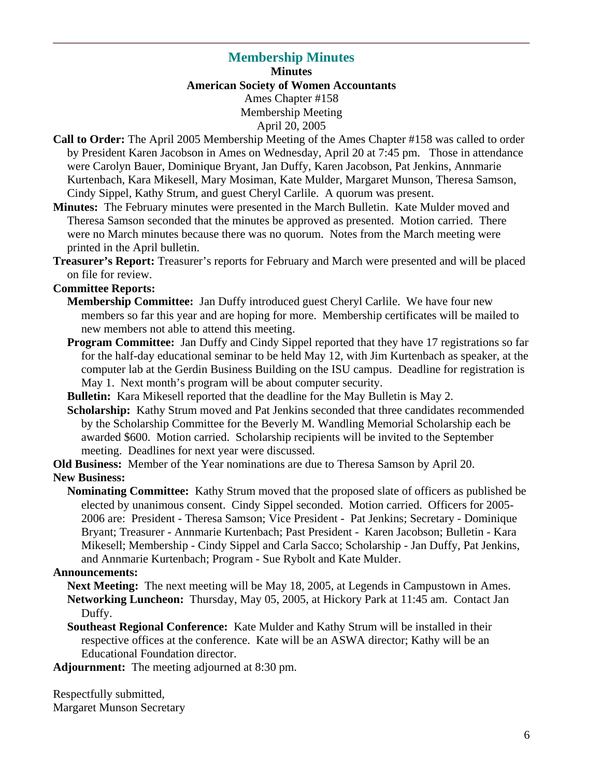# **Membership Minutes**

**Minutes American Society of Women Accountants**  Ames Chapter #158 Membership Meeting April 20, 2005

- **Call to Order:** The April 2005 Membership Meeting of the Ames Chapter #158 was called to order by President Karen Jacobson in Ames on Wednesday, April 20 at 7:45 pm. Those in attendance were Carolyn Bauer, Dominique Bryant, Jan Duffy, Karen Jacobson, Pat Jenkins, Annmarie Kurtenbach, Kara Mikesell, Mary Mosiman, Kate Mulder, Margaret Munson, Theresa Samson, Cindy Sippel, Kathy Strum, and guest Cheryl Carlile. A quorum was present.
- **Minutes:** The February minutes were presented in the March Bulletin. Kate Mulder moved and Theresa Samson seconded that the minutes be approved as presented. Motion carried. There were no March minutes because there was no quorum. Notes from the March meeting were printed in the April bulletin.
- **Treasurer's Report:** Treasurer's reports for February and March were presented and will be placed on file for review.

#### **Committee Reports:**

- **Membership Committee:** Jan Duffy introduced guest Cheryl Carlile. We have four new members so far this year and are hoping for more. Membership certificates will be mailed to new members not able to attend this meeting.
- **Program Committee:** Jan Duffy and Cindy Sippel reported that they have 17 registrations so far for the half-day educational seminar to be held May 12, with Jim Kurtenbach as speaker, at the computer lab at the Gerdin Business Building on the ISU campus. Deadline for registration is May 1. Next month's program will be about computer security.
- **Bulletin:** Kara Mikesell reported that the deadline for the May Bulletin is May 2.
- **Scholarship:** Kathy Strum moved and Pat Jenkins seconded that three candidates recommended by the Scholarship Committee for the Beverly M. Wandling Memorial Scholarship each be awarded \$600. Motion carried. Scholarship recipients will be invited to the September meeting. Deadlines for next year were discussed.
- **Old Business:** Member of the Year nominations are due to Theresa Samson by April 20. **New Business:** 
	- **Nominating Committee:** Kathy Strum moved that the proposed slate of officers as published be elected by unanimous consent. Cindy Sippel seconded. Motion carried. Officers for 2005- 2006 are: President - Theresa Samson; Vice President - Pat Jenkins; Secretary - Dominique Bryant; Treasurer - Annmarie Kurtenbach; Past President - Karen Jacobson; Bulletin - Kara Mikesell; Membership - Cindy Sippel and Carla Sacco; Scholarship - Jan Duffy, Pat Jenkins, and Annmarie Kurtenbach; Program - Sue Rybolt and Kate Mulder.

#### **Announcements:**

- **Next Meeting:** The next meeting will be May 18, 2005, at Legends in Campustown in Ames. **Networking Luncheon:** Thursday, May 05, 2005, at Hickory Park at 11:45 am. Contact Jan Duffy.
- **Southeast Regional Conference:** Kate Mulder and Kathy Strum will be installed in their respective offices at the conference. Kate will be an ASWA director; Kathy will be an Educational Foundation director.
- **Adjournment:** The meeting adjourned at 8:30 pm.

Respectfully submitted, Margaret Munson Secretary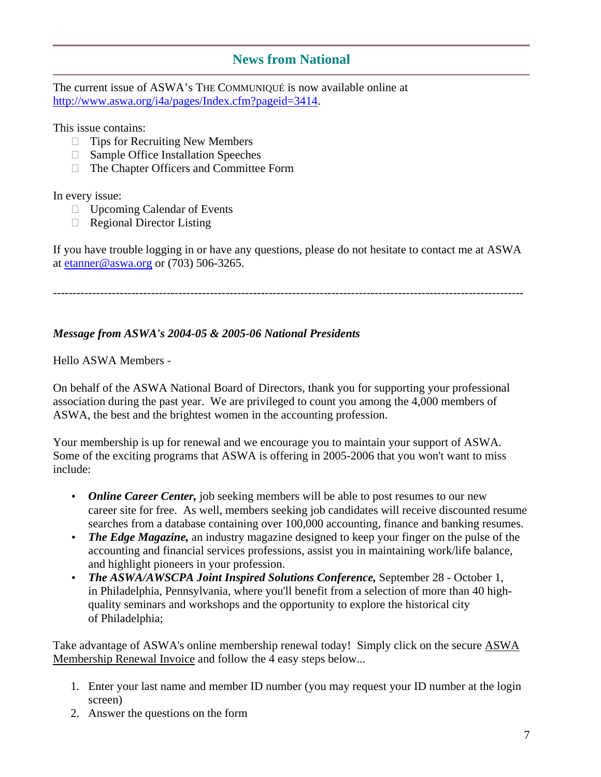#### **News from National**

The current issue of ASWA's THE COMMUNIQUÉ is now available online at http://www.aswa.org/i4a/pages/Index.cfm?pageid=3414.

This issue contains:

 Tips for Recruiting New Members Sample Office Installation Speeches The Chapter Officers and Committee Form

In every issue:

 Upcoming Calendar of Events Regional Director Listing

If you have trouble logging in or have any questions, please do not hesitate to contact me at ASWA at etanner@aswa.org or (703) 506-3265.

------------------------------------------------------------------------------------------------------------------------

#### *Message from ASWA's 2004-05 & 2005-06 National Presidents*

Hello ASWA Members -

On behalf of the ASWA National Board of Directors, thank you for supporting your professional association during the past year. We are privileged to count you among the 4,000 members of ASWA, the best and the brightest women in the accounting profession.

Your membership is up for renewal and we encourage you to maintain your support of ASWA. Some of the exciting programs that ASWA is offering in 2005-2006 that you won't want to miss include:

- *Online Career Center,* job seeking members will be able to post resumes to our new career site for free. As well, members seeking job candidates will receive discounted resume searches from a database containing over 100,000 accounting, finance and banking resumes.
- *The Edge Magazine*, an industry magazine designed to keep your finger on the pulse of the accounting and financial services professions, assist you in maintaining work/life balance, and highlight pioneers in your profession.
- *The ASWA/AWSCPA Joint Inspired Solutions Conference,* September 28 October 1, in Philadelphia, Pennsylvania, where you'll benefit from a selection of more than 40 highquality seminars and workshops and the opportunity to explore the historical city of Philadelphia;

Take advantage of ASWA's online membership renewal today! Simply click on the secure ASWA Membership Renewal Invoice and follow the 4 easy steps below...

- 1. Enter your last name and member ID number (you may request your ID number at the login screen)
- 2. Answer the questions on the form